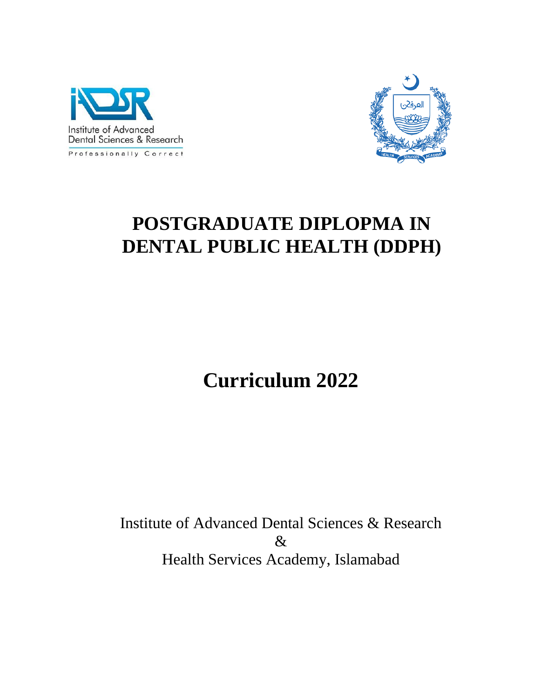



# **POSTGRADUATE DIPLOPMA IN DENTAL PUBLIC HEALTH (DDPH)**

**Curriculum 2022**

Institute of Advanced Dental Sciences & Research & Health Services Academy, Islamabad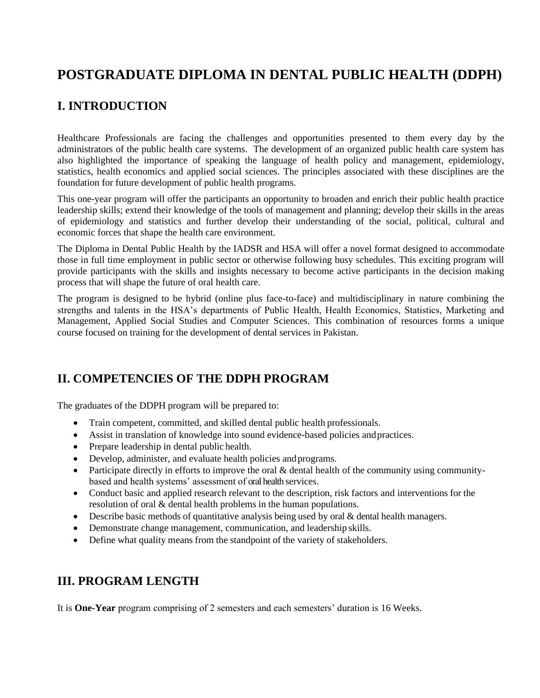# **POSTGRADUATE DIPLOMA IN DENTAL PUBLIC HEALTH (DDPH)**

# **I. INTRODUCTION**

Healthcare Professionals are facing the challenges and opportunities presented to them every day by the administrators of the public health care systems. The development of an organized public health care system has also highlighted the importance of speaking the language of health policy and management, epidemiology, statistics, health economics and applied social sciences. The principles associated with these disciplines are the foundation for future development of public health programs.

This one-year program will offer the participants an opportunity to broaden and enrich their public health practice leadership skills; extend their knowledge of the tools of management and planning; develop their skills in the areas of epidemiology and statistics and further develop their understanding of the social, political, cultural and economic forces that shape the health care environment.

The Diploma in Dental Public Health by the IADSR and HSA will offer a novel format designed to accommodate those in full time employment in public sector or otherwise following busy schedules. This exciting program will provide participants with the skills and insights necessary to become active participants in the decision making process that will shape the future of oral health care.

The program is designed to be hybrid (online plus face-to-face) and multidisciplinary in nature combining the strengths and talents in the HSA's departments of Public Health, Health Economics, Statistics, Marketing and Management, Applied Social Studies and Computer Sciences. This combination of resources forms a unique course focused on training for the development of dental services in Pakistan.

### **II. COMPETENCIES OF THE DDPH PROGRAM**

The graduates of the DDPH program will be prepared to:

- Train competent, committed, and skilled dental public health professionals.
- Assist in translation of knowledge into sound evidence-based policies andpractices.
- Prepare leadership in dental public health.
- Develop, administer, and evaluate health policies and programs.
- Participate directly in efforts to improve the oral & dental health of the community using communitybased and health systems' assessment of oral health services.
- Conduct basic and applied research relevant to the description, risk factors and interventions for the resolution of oral & dental health problems in the human populations.
- Describe basic methods of quantitative analysis being used by oral & dental health managers.
- Demonstrate change management, communication, and leadership skills.
- Define what quality means from the standpoint of the variety of stakeholders.

### **III. PROGRAM LENGTH**

It is **One-Year** program comprising of 2 semesters and each semesters' duration is 16 Weeks.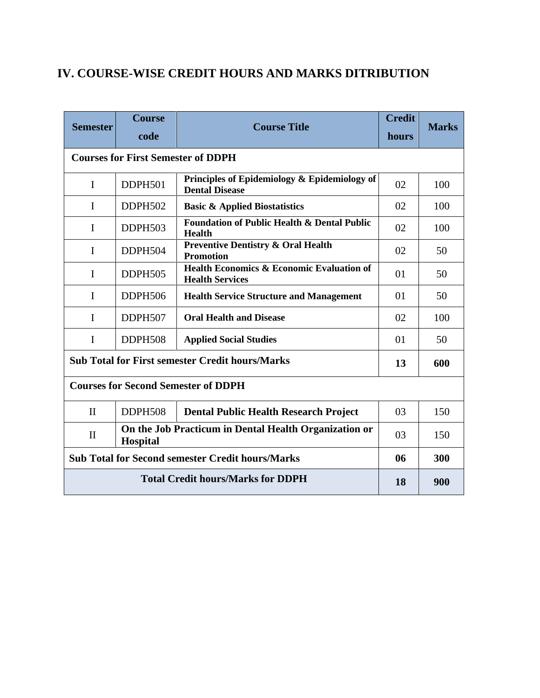# **IV. COURSE-WISE CREDIT HOURS AND MARKS DITRIBUTION**

| <b>Semester</b>                                         | <b>Course</b>                                                            | <b>Course Title</b>                                                            | <b>Credit</b> | <b>Marks</b> |  |  |  |
|---------------------------------------------------------|--------------------------------------------------------------------------|--------------------------------------------------------------------------------|---------------|--------------|--|--|--|
|                                                         | code                                                                     |                                                                                | hours         |              |  |  |  |
| <b>Courses for First Semester of DDPH</b>               |                                                                          |                                                                                |               |              |  |  |  |
| $\mathbf I$                                             | DDPH501                                                                  | Principles of Epidemiology & Epidemiology of<br><b>Dental Disease</b>          | 02            | 100          |  |  |  |
| I                                                       | DDPH502                                                                  | <b>Basic &amp; Applied Biostatistics</b>                                       | 02            | 100          |  |  |  |
| $\mathbf{I}$                                            | DDPH503                                                                  | <b>Foundation of Public Health &amp; Dental Public</b><br><b>Health</b>        | 02            | 100          |  |  |  |
| I                                                       | DDPH504                                                                  | <b>Preventive Dentistry &amp; Oral Health</b><br><b>Promotion</b>              | 02            | 50           |  |  |  |
| I                                                       | <b>DDPH505</b>                                                           | <b>Health Economics &amp; Economic Evaluation of</b><br><b>Health Services</b> | 01            | 50           |  |  |  |
| I                                                       | DDPH506                                                                  | <b>Health Service Structure and Management</b>                                 | 01            | 50           |  |  |  |
| I                                                       | DDPH507                                                                  | <b>Oral Health and Disease</b>                                                 | 02            | 100          |  |  |  |
| $\mathbf I$                                             | DDPH508                                                                  | <b>Applied Social Studies</b>                                                  | 01            | 50           |  |  |  |
| <b>Sub Total for First semester Credit hours/Marks</b>  | 13                                                                       | 600                                                                            |               |              |  |  |  |
| <b>Courses for Second Semester of DDPH</b>              |                                                                          |                                                                                |               |              |  |  |  |
| $\mathbf{I}$                                            | DDPH508                                                                  | <b>Dental Public Health Research Project</b>                                   | 03            | 150          |  |  |  |
| $\mathbf{I}$                                            | On the Job Practicum in Dental Health Organization or<br><b>Hospital</b> |                                                                                |               | 150          |  |  |  |
| <b>Sub Total for Second semester Credit hours/Marks</b> | 06                                                                       | 300                                                                            |               |              |  |  |  |
|                                                         | 18                                                                       | 900                                                                            |               |              |  |  |  |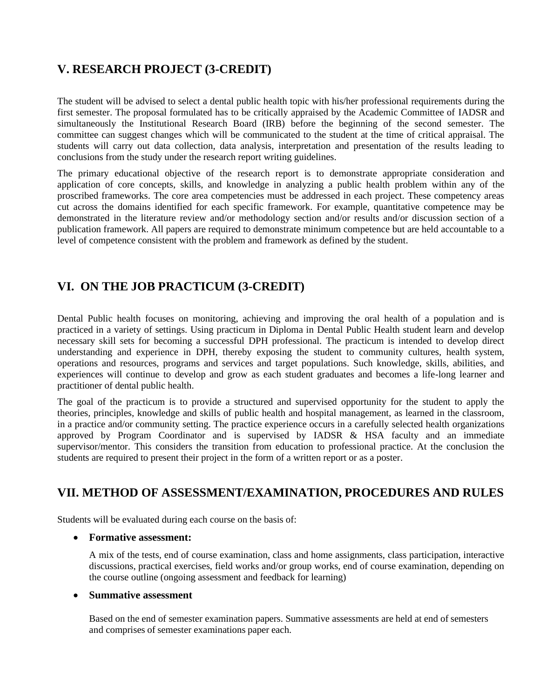# **V. RESEARCH PROJECT (3-CREDIT)**

The student will be advised to select a dental public health topic with his/her professional requirements during the first semester. The proposal formulated has to be critically appraised by the Academic Committee of IADSR and simultaneously the Institutional Research Board (IRB) before the beginning of the second semester. The committee can suggest changes which will be communicated to the student at the time of critical appraisal. The students will carry out data collection, data analysis, interpretation and presentation of the results leading to conclusions from the study under the research report writing guidelines.

The primary educational objective of the research report is to demonstrate appropriate consideration and application of core concepts, skills, and knowledge in analyzing a public health problem within any of the proscribed frameworks. The core area competencies must be addressed in each project. These competency areas cut across the domains identified for each specific framework. For example, quantitative competence may be demonstrated in the literature review and/or methodology section and/or results and/or discussion section of a publication framework. All papers are required to demonstrate minimum competence but are held accountable to a level of competence consistent with the problem and framework as defined by the student.

# **VI. ON THE JOB PRACTICUM (3-CREDIT)**

Dental Public health focuses on monitoring, achieving and improving the oral health of a population and is practiced in a variety of settings. Using practicum in Diploma in Dental Public Health student learn and develop necessary skill sets for becoming a successful DPH professional. The practicum is intended to develop direct understanding and experience in DPH, thereby exposing the student to community cultures, health system, operations and resources, programs and services and target populations. Such knowledge, skills, abilities, and experiences will continue to develop and grow as each student graduates and becomes a life-long learner and practitioner of dental public health.

The goal of the practicum is to provide a structured and supervised opportunity for the student to apply the theories, principles, knowledge and skills of public health and hospital management, as learned in the classroom, in a practice and/or community setting. The practice experience occurs in a carefully selected health organizations approved by Program Coordinator and is supervised by IADSR & HSA faculty and an immediate supervisor/mentor. This considers the transition from education to professional practice. At the conclusion the students are required to present their project in the form of a written report or as a poster.

# **VII. METHOD OF ASSESSMENT/EXAMINATION, PROCEDURES AND RULES**

Students will be evaluated during each course on the basis of:

#### • **Formative assessment:**

A mix of the tests, end of course examination, class and home assignments, class participation, interactive discussions, practical exercises, field works and/or group works, end of course examination, depending on the course outline (ongoing assessment and feedback for learning)

#### • **Summative assessment**

Based on the end of semester examination papers. Summative assessments are held at end of semesters and comprises of semester examinations paper each.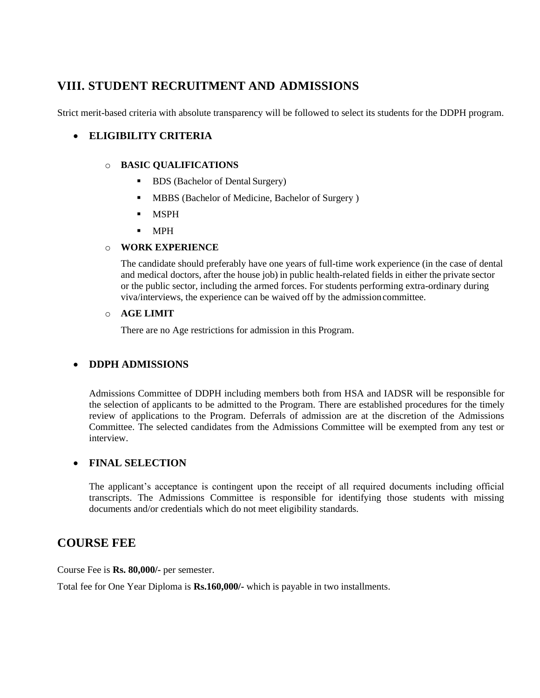# **VIII. STUDENT RECRUITMENT AND ADMISSIONS**

Strict merit-based criteria with absolute transparency will be followed to select its students for the DDPH program.

### • **ELIGIBILITY CRITERIA**

#### o **BASIC QUALIFICATIONS**

- BDS (Bachelor of Dental Surgery)
- MBBS (Bachelor of Medicine, Bachelor of Surgery)
- MSPH
- MPH

#### o **WORK EXPERIENCE**

The candidate should preferably have one years of full-time work experience (in the case of dental and medical doctors, after the house job) in public health-related fields in either the private sector or the public sector, including the armed forces. For students performing extra-ordinary during viva/interviews, the experience can be waived off by the admissioncommittee.

#### o **AGE LIMIT**

There are no Age restrictions for admission in this Program.

### • **DDPH ADMISSIONS**

Admissions Committee of DDPH including members both from HSA and IADSR will be responsible for the selection of applicants to be admitted to the Program. There are established procedures for the timely review of applications to the Program. Deferrals of admission are at the discretion of the Admissions Committee. The selected candidates from the Admissions Committee will be exempted from any test or interview.

#### • **FINAL SELECTION**

The applicant's acceptance is contingent upon the receipt of all required documents including official transcripts. The Admissions Committee is responsible for identifying those students with missing documents and/or credentials which do not meet eligibility standards.

### **COURSE FEE**

Course Fee is **Rs. 80,000/-** per semester.

Total fee for One Year Diploma is **Rs.160,000/-** which is payable in two installments.